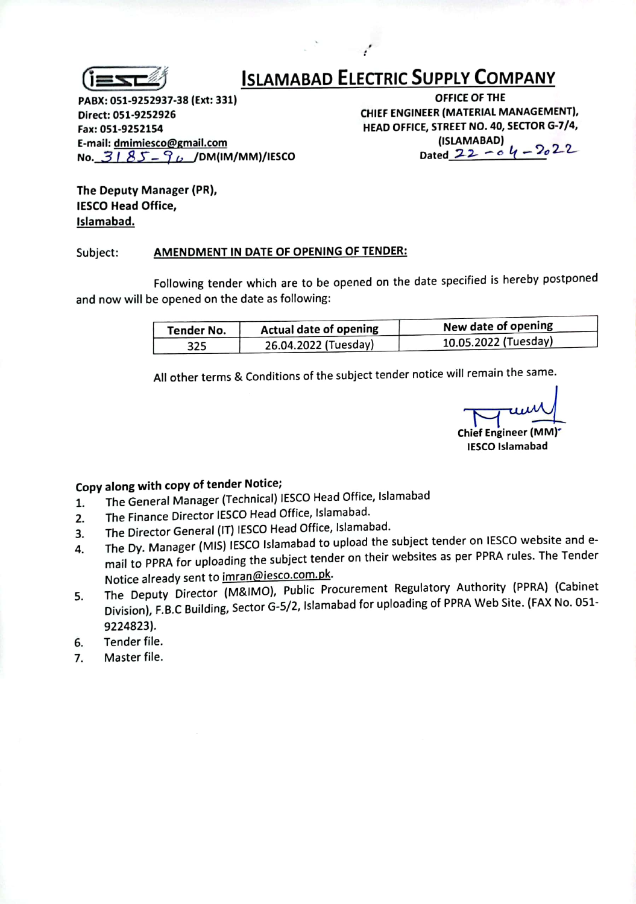

## **ISLAMABAD ELECTRIC SUPPLY COMPANY**

PABX: 051-9252937-38 (Ext: 331)

Direct: 051-9252926

Fax: 051-9252154

E-mail: dmimiesco@gmail.com

No.  $3185 - 96$  /DM(IM/MM)/IESCO

OFFICE OF THE CHIEF ENGINEER (MATERIAL MANAGEMENT), HEAD OFFICE, STREET NO. 40, SECTOR G-7/4,

(ISLAMABAD) Dated  $22 - 64 - 2022$ 

The Deputy Manager (PR), **IESCO Head Office,** Islamabad.

## AMENDMENT IN DATE OF OPENING OF TENDER: Subject:

Following tender which are to be opened on the date specified is hereby postponed and now will be opened on the date as following:

| Tender No. | <b>Actual date of opening</b> | New date of opening  |  |  |
|------------|-------------------------------|----------------------|--|--|
| 325        | 26.04.2022 (Tuesday)          | 10.05.2022 (Tuesday) |  |  |

All other terms & Conditions of the subject tender notice will remain the same.

Chief Engineer (MM)<sup>\*</sup> **IESCO Islamabad** 

Copy along with copy of tender Notice;

- The General Manager (Technical) IESCO Head Office, Islamabad 1.
- The Finance Director IESCO Head Office, Islamabad. 2.
- The Director General (IT) IESCO Head Office, Islamabad. 3.
- The Dy. Manager (MIS) IESCO Islamabad to upload the subject tender on IESCO website and e-4. mail to PPRA for uploading the subject tender on their websites as per PPRA rules. The Tender Notice already sent to imran@iesco.com.pk.
- The Deputy Director (M&IMO), Public Procurement Regulatory Authority (PPRA) (Cabinet 5. Division), F.B.C Building, Sector G-5/2, Islamabad for uploading of PPRA Web Site. (FAX No. 051-9224823).
- Tender file. 6.
- Master file. 7.